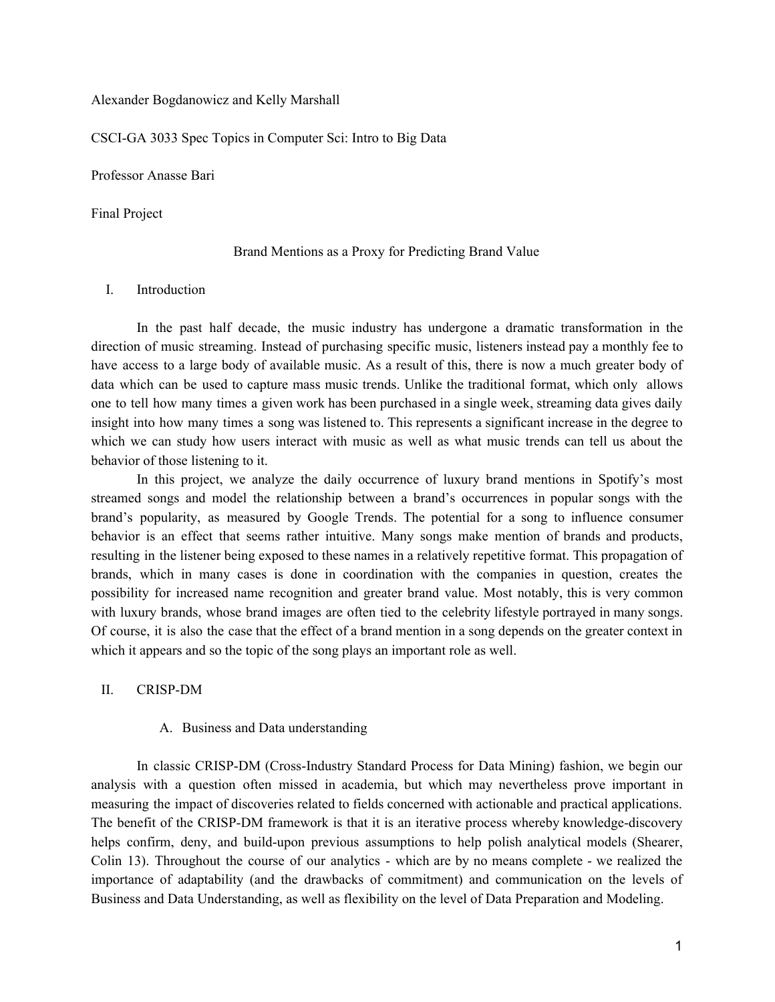Alexander Bogdanowicz and Kelly Marshall

CSCI-GA 3033 Spec Topics in Computer Sci: Intro to Big Data

Professor Anasse Bari

Final Project

#### Brand Mentions as a Proxy for Predicting Brand Value

### I. Introduction

In the past half decade, the music industry has undergone a dramatic transformation in the direction of music streaming. Instead of purchasing specific music, listeners instead pay a monthly fee to have access to a large body of available music. As a result of this, there is now a much greater body of data which can be used to capture mass music trends. Unlike the traditional format, which only allows one to tell how many times a given work has been purchased in a single week, streaming data gives daily insight into how many times a song was listened to. This represents a significant increase in the degree to which we can study how users interact with music as well as what music trends can tell us about the behavior of those listening to it.

In this project, we analyze the daily occurrence of luxury brand mentions in Spotify's most streamed songs and model the relationship between a brand's occurrences in popular songs with the brand's popularity, as measured by Google Trends. The potential for a song to influence consumer behavior is an effect that seems rather intuitive. Many songs make mention of brands and products, resulting in the listener being exposed to these names in a relatively repetitive format. This propagation of brands, which in many cases is done in coordination with the companies in question, creates the possibility for increased name recognition and greater brand value. Most notably, this is very common with luxury brands, whose brand images are often tied to the celebrity lifestyle portrayed in many songs. Of course, it is also the case that the effect of a brand mention in a song depends on the greater context in which it appears and so the topic of the song plays an important role as well.

## II. CRISP-DM

### A. Business and Data understanding

In classic CRISP-DM (Cross-Industry Standard Process for Data Mining) fashion, we begin our analysis with a question often missed in academia, but which may nevertheless prove important in measuring the impact of discoveries related to fields concerned with actionable and practical applications. The benefit of the CRISP-DM framework is that it is an iterative process whereby knowledge-discovery helps confirm, deny, and build-upon previous assumptions to help polish analytical models (Shearer, Colin 13). Throughout the course of our analytics - which are by no means complete - we realized the importance of adaptability (and the drawbacks of commitment) and communication on the levels of Business and Data Understanding, as well as flexibility on the level of Data Preparation and Modeling.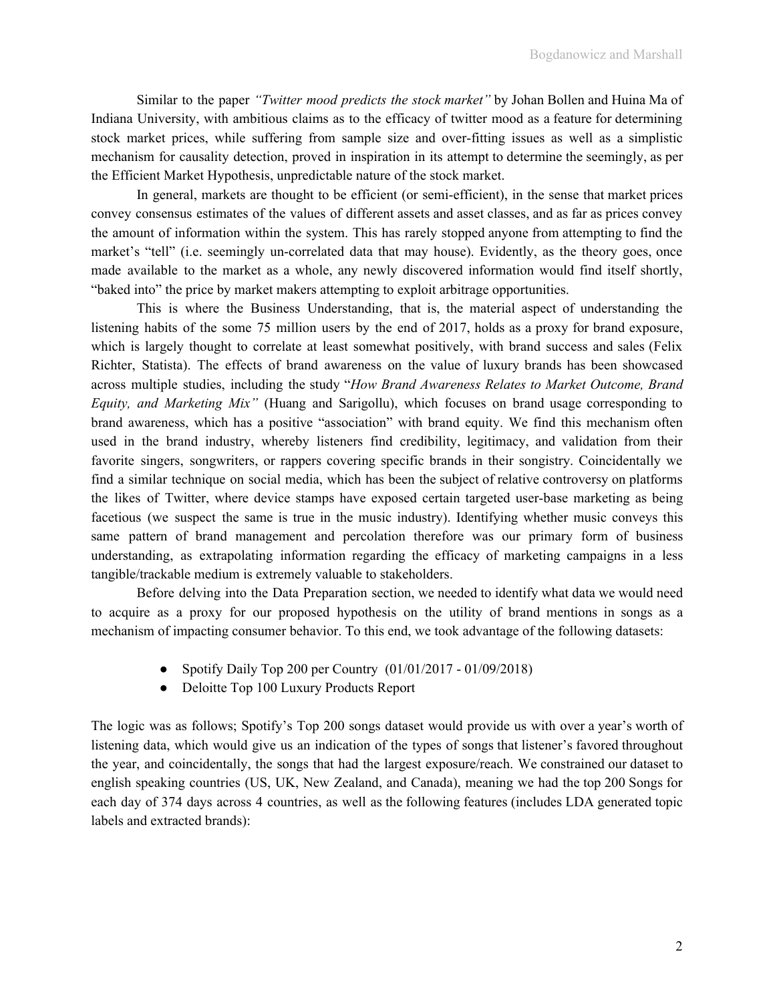Similar to the paper *"Twitter mood predicts the stock market"* by Johan Bollen and Huina Ma of Indiana University, with ambitious claims as to the efficacy of twitter mood as a feature for determining stock market prices, while suffering from sample size and over-fitting issues as well as a simplistic mechanism for causality detection, proved in inspiration in its attempt to determine the seemingly, as per the Efficient Market Hypothesis, unpredictable nature of the stock market.

In general, markets are thought to be efficient (or semi-efficient), in the sense that market prices convey consensus estimates of the values of different assets and asset classes, and as far as prices convey the amount of information within the system. This has rarely stopped anyone from attempting to find the market's "tell" (i.e. seemingly un-correlated data that may house). Evidently, as the theory goes, once made available to the market as a whole, any newly discovered information would find itself shortly, "baked into" the price by market makers attempting to exploit arbitrage opportunities.

This is where the Business Understanding, that is, the material aspect of understanding the listening habits of the some 75 million users by the end of 2017, holds as a proxy for brand exposure, which is largely thought to correlate at least somewhat positively, with brand success and sales (Felix Richter, Statista). The effects of brand awareness on the value of luxury brands has been showcased across multiple studies, including the study "*How Brand Awareness Relates to Market Outcome, Brand Equity, and Marketing Mix"* (Huang and Sarigollu), which focuses on brand usage corresponding to brand awareness, which has a positive "association" with brand equity. We find this mechanism often used in the brand industry, whereby listeners find credibility, legitimacy, and validation from their favorite singers, songwriters, or rappers covering specific brands in their songistry. Coincidentally we find a similar technique on social media, which has been the subject of relative controversy on platforms the likes of Twitter, where device stamps have exposed certain targeted user-base marketing as being facetious (we suspect the same is true in the music industry). Identifying whether music conveys this same pattern of brand management and percolation therefore was our primary form of business understanding, as extrapolating information regarding the efficacy of marketing campaigns in a less tangible/trackable medium is extremely valuable to stakeholders.

Before delving into the Data Preparation section, we needed to identify what data we would need to acquire as a proxy for our proposed hypothesis on the utility of brand mentions in songs as a mechanism of impacting consumer behavior. To this end, we took advantage of the following datasets:

- Spotify Daily Top 200 per Country  $(01/01/2017 01/09/2018)$
- Deloitte Top 100 Luxury Products Report

The logic was as follows; Spotify's Top 200 songs dataset would provide us with over a year's worth of listening data, which would give us an indication of the types of songs that listener's favored throughout the year, and coincidentally, the songs that had the largest exposure/reach. We constrained our dataset to english speaking countries (US, UK, New Zealand, and Canada), meaning we had the top 200 Songs for each day of 374 days across 4 countries, as well as the following features (includes LDA generated topic labels and extracted brands):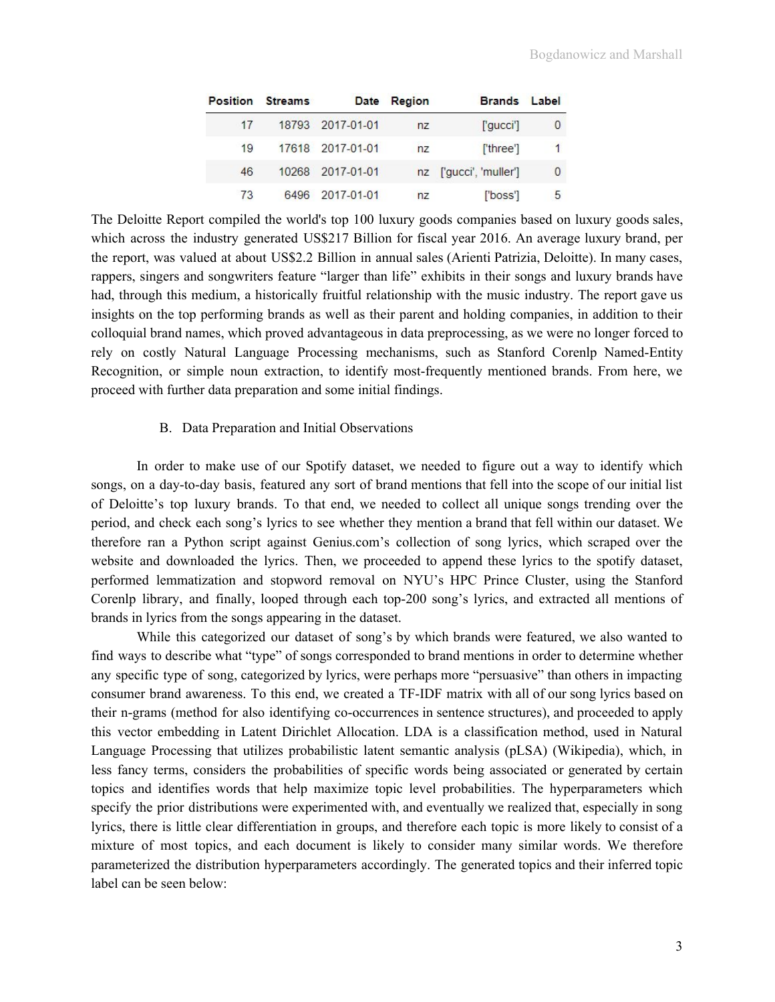|    | <b>Position Streams</b> |                  | Date Region | <b>Brands</b> Label    |                |
|----|-------------------------|------------------|-------------|------------------------|----------------|
| 17 |                         | 18793 2017-01-01 | nz          | ['qucci']              | $\overline{0}$ |
| 19 |                         | 17618 2017-01-01 | nz          | ['three']              | $\mathbf{1}$   |
| 46 |                         | 10268 2017-01-01 |             | nz ['gucci', 'muller'] | $\overline{0}$ |
| 73 |                         | 6496 2017-01-01  | nz          | ['boss']               | 5              |

The Deloitte Report compiled the world's top 100 luxury goods companies based on luxury goods sales, which across the industry generated US\$217 Billion for fiscal year 2016. An average luxury brand, per the report, was valued at about US\$2.2 Billion in annual sales (Arienti Patrizia, Deloitte). In many cases, rappers, singers and songwriters feature "larger than life" exhibits in their songs and luxury brands have had, through this medium, a historically fruitful relationship with the music industry. The report gave us insights on the top performing brands as well as their parent and holding companies, in addition to their colloquial brand names, which proved advantageous in data preprocessing, as we were no longer forced to rely on costly Natural Language Processing mechanisms, such as Stanford Corenlp Named-Entity Recognition, or simple noun extraction, to identify most-frequently mentioned brands. From here, we proceed with further data preparation and some initial findings.

#### B. Data Preparation and Initial Observations

In order to make use of our Spotify dataset, we needed to figure out a way to identify which songs, on a day-to-day basis, featured any sort of brand mentions that fell into the scope of our initial list of Deloitte's top luxury brands. To that end, we needed to collect all unique songs trending over the period, and check each song's lyrics to see whether they mention a brand that fell within our dataset. We therefore ran a Python script against Genius.com's collection of song lyrics, which scraped over the website and downloaded the lyrics. Then, we proceeded to append these lyrics to the spotify dataset, performed lemmatization and stopword removal on NYU's HPC Prince Cluster, using the Stanford Corenlp library, and finally, looped through each top-200 song's lyrics, and extracted all mentions of brands in lyrics from the songs appearing in the dataset.

While this categorized our dataset of song's by which brands were featured, we also wanted to find ways to describe what "type" of songs corresponded to brand mentions in order to determine whether any specific type of song, categorized by lyrics, were perhaps more "persuasive" than others in impacting consumer brand awareness. To this end, we created a TF-IDF matrix with all of our song lyrics based on their n-grams (method for also identifying co-occurrences in sentence structures), and proceeded to apply this vector embedding in Latent Dirichlet Allocation. LDA is a classification method, used in Natural Language Processing that utilizes probabilistic latent semantic analysis (pLSA) (Wikipedia), which, in less fancy terms, considers the probabilities of specific words being associated or generated by certain topics and identifies words that help maximize topic level probabilities. The hyperparameters which specify the prior distributions were experimented with, and eventually we realized that, especially in song lyrics, there is little clear differentiation in groups, and therefore each topic is more likely to consist of a mixture of most topics, and each document is likely to consider many similar words. We therefore parameterized the distribution hyperparameters accordingly. The generated topics and their inferred topic label can be seen below: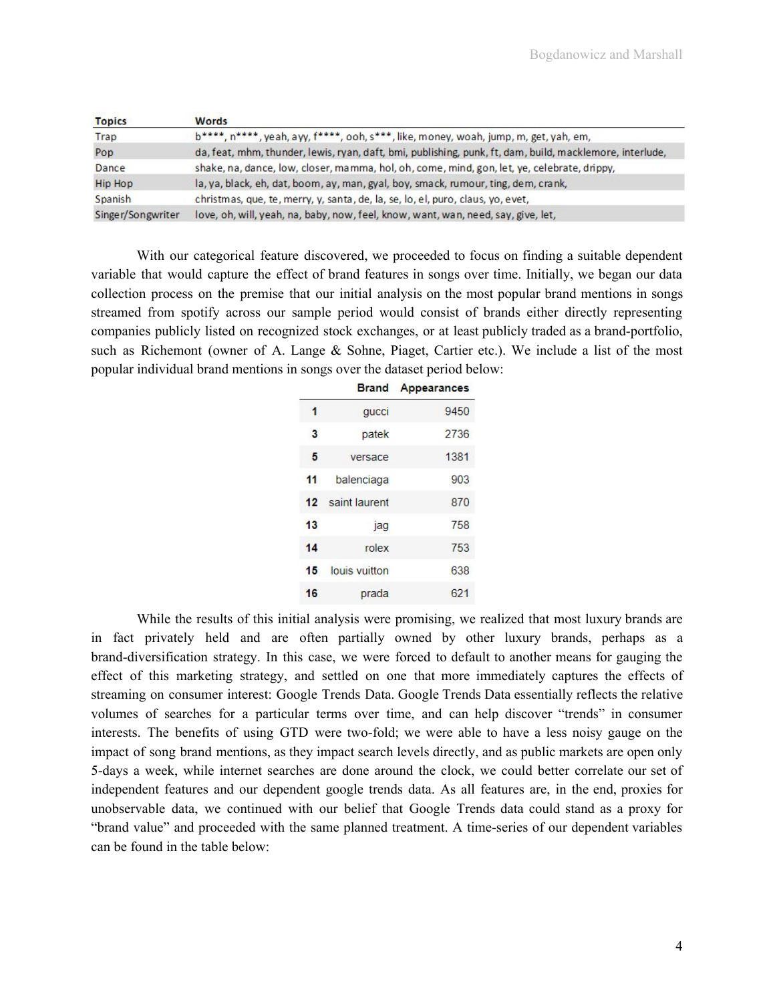| <b>Topics</b>     | Words                                                                                                    |
|-------------------|----------------------------------------------------------------------------------------------------------|
| Trap              | b****, n****, yeah, ayy, f****, ooh, s***, like, money, woah, jump, m, get, yah, em,                     |
| Pop               | da, feat, mhm, thunder, lewis, ryan, daft, bmi, publishing, punk, ft, dam, build, macklemore, interlude, |
| Dance             | shake, na, dance, low, closer, mamma, hol, oh, come, mind, gon, let, ye, celebrate, drippy,              |
| <b>Hip Hop</b>    | la, ya, black, eh, dat, boom, ay, man, gyal, boy, smack, rumour, ting, dem, crank,                       |
| Spanish           | christmas, que, te, merry, y, santa, de, la, se, lo, el, puro, claus, yo, evet,                          |
| Singer/Songwriter | love, oh, will, yeah, na, baby, now, feel, know, want, wan, need, say, give, let,                        |

With our categorical feature discovered, we proceeded to focus on finding a suitable dependent variable that would capture the effect of brand features in songs over time. Initially, we began our data collection process on the premise that our initial analysis on the most popular brand mentions in songs streamed from spotify across our sample period would consist of brands either directly representing companies publicly listed on recognized stock exchanges, or at least publicly traded as a brand-portfolio, such as Richemont (owner of A. Lange & Sohne, Piaget, Cartier etc.). We include a list of the most popular individual brand mentions in songs over the dataset period below:

|    | <b>Brand</b>  | Appearances |
|----|---------------|-------------|
| 1  | qucci         | 9450        |
| 3  | patek         | 2736        |
| 5  | versace       | 1381        |
| 11 | balenciaga    | 903         |
| 12 | saint laurent | 870         |
| 13 | jag           | 758         |
| 14 | rolex         | 753         |
| 15 | louis vuitton | 638         |
| 16 | prada         | 621         |

While the results of this initial analysis were promising, we realized that most luxury brands are in fact privately held and are often partially owned by other luxury brands, perhaps as a brand-diversification strategy. In this case, we were forced to default to another means for gauging the effect of this marketing strategy, and settled on one that more immediately captures the effects of streaming on consumer interest: Google Trends Data. Google Trends Data essentially reflects the relative volumes of searches for a particular terms over time, and can help discover "trends" in consumer interests. The benefits of using GTD were two-fold; we were able to have a less noisy gauge on the impact of song brand mentions, as they impact search levels directly, and as public markets are open only 5-days a week, while internet searches are done around the clock, we could better correlate our set of independent features and our dependent google trends data. As all features are, in the end, proxies for unobservable data, we continued with our belief that Google Trends data could stand as a proxy for "brand value" and proceeded with the same planned treatment. A time-series of our dependent variables can be found in the table below: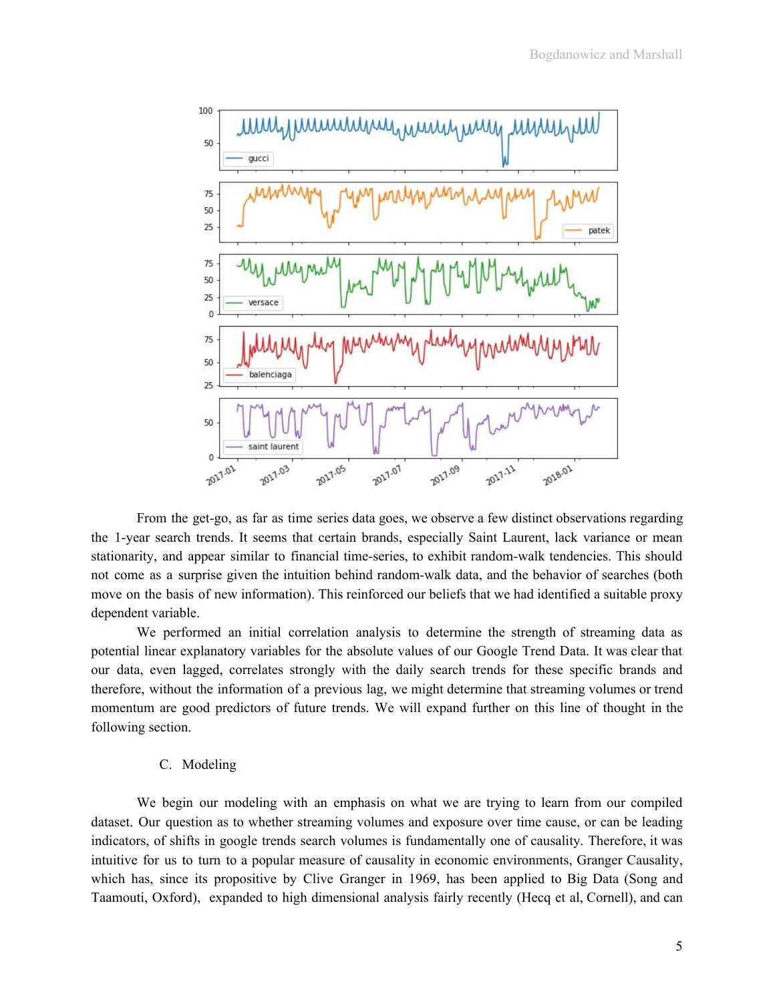

From the get-go, as far as time series data goes, we observe a few distinct observations regarding the 1-year search trends. It seems that certain brands, especially Saint Laurent, lack variance or mean stationarity, and appear similar to financial time-series, to exhibit random-walk tendencies. This should not come as a surprise given the intuition behind random-walk data, and the behavior of searches (both move on the basis of new information). This reinforced our beliefs that we had identified a suitable proxy dependent variable.

We performed an initial correlation analysis to determine the strength of streaming data as potential linear explanatory variables for the absolute values of our Google Trend Data. It was clear that our data, even lagged, correlates strongly with the daily search trends for these specific brands and therefore, without the information of a previous lag, we might determine that streaming volumes or trend momentum are good predictors of future trends. We will expand further on this line of thought in the following section.

#### C. Modeling

We begin our modeling with an emphasis on what we are trying to learn from our compiled dataset. Our question as to whether streaming volumes and exposure over time cause, or can be leading indicators, of shifts in google trends search volumes is fundamentally one of causality. Therefore, it was intuitive for us to turn to a popular measure of causality in economic environments, Granger Causality, which has, since its propositive by Clive Granger in 1969, has been applied to Big Data (Song and Taamouti, Oxford), expanded to high dimensional analysis fairly recently (Hecq et al, Cornell), and can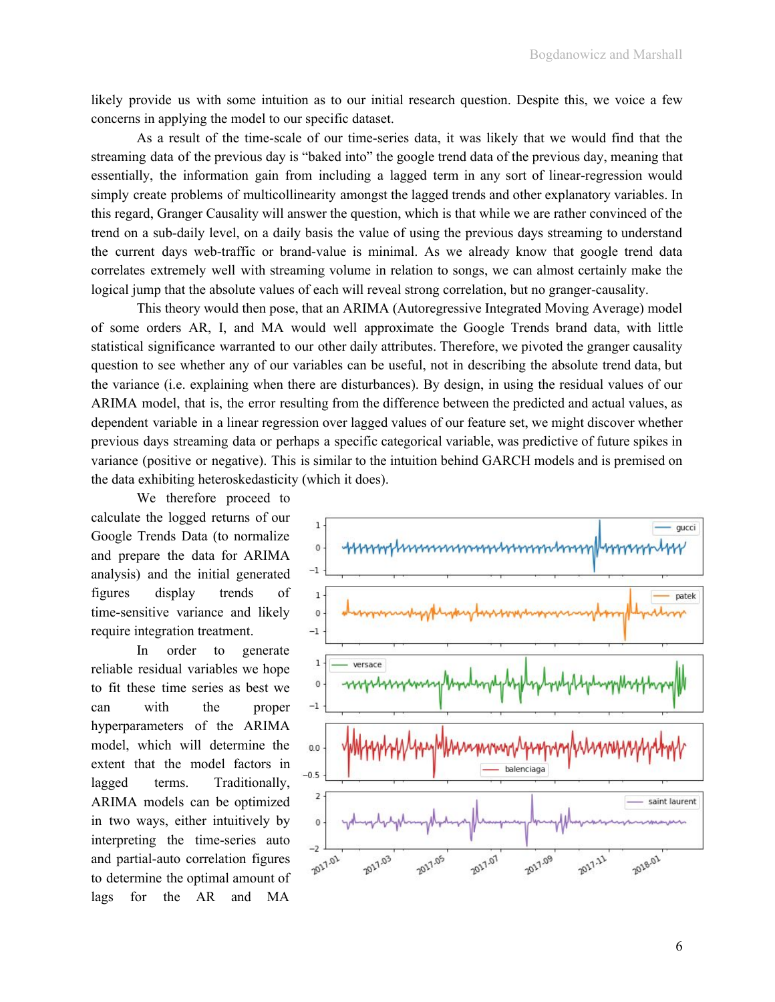likely provide us with some intuition as to our initial research question. Despite this, we voice a few concerns in applying the model to our specific dataset.

As a result of the time-scale of our time-series data, it was likely that we would find that the streaming data of the previous day is "baked into" the google trend data of the previous day, meaning that essentially, the information gain from including a lagged term in any sort of linear-regression would simply create problems of multicollinearity amongst the lagged trends and other explanatory variables. In this regard, Granger Causality will answer the question, which is that while we are rather convinced of the trend on a sub-daily level, on a daily basis the value of using the previous days streaming to understand the current days web-traffic or brand-value is minimal. As we already know that google trend data correlates extremely well with streaming volume in relation to songs, we can almost certainly make the logical jump that the absolute values of each will reveal strong correlation, but no granger-causality.

This theory would then pose, that an ARIMA (Autoregressive Integrated Moving Average) model of some orders AR, I, and MA would well approximate the Google Trends brand data, with little statistical significance warranted to our other daily attributes. Therefore, we pivoted the granger causality question to see whether any of our variables can be useful, not in describing the absolute trend data, but the variance (i.e. explaining when there are disturbances). By design, in using the residual values of our ARIMA model, that is, the error resulting from the difference between the predicted and actual values, as dependent variable in a linear regression over lagged values of our feature set, we might discover whether previous days streaming data or perhaps a specific categorical variable, was predictive of future spikes in variance (positive or negative). This is similar to the intuition behind GARCH models and is premised on the data exhibiting heteroskedasticity (which it does).

We therefore proceed to calculate the logged returns of our Google Trends Data (to normalize and prepare the data for ARIMA analysis) and the initial generated figures display trends of time-sensitive variance and likely require integration treatment.

In order to generate reliable residual variables we hope to fit these time series as best we can with the proper hyperparameters of the ARIMA model, which will determine the extent that the model factors in lagged terms. Traditionally, ARIMA models can be optimized in two ways, either intuitively by interpreting the time-series auto and partial-auto correlation figures to determine the optimal amount of lags for the AR and MA

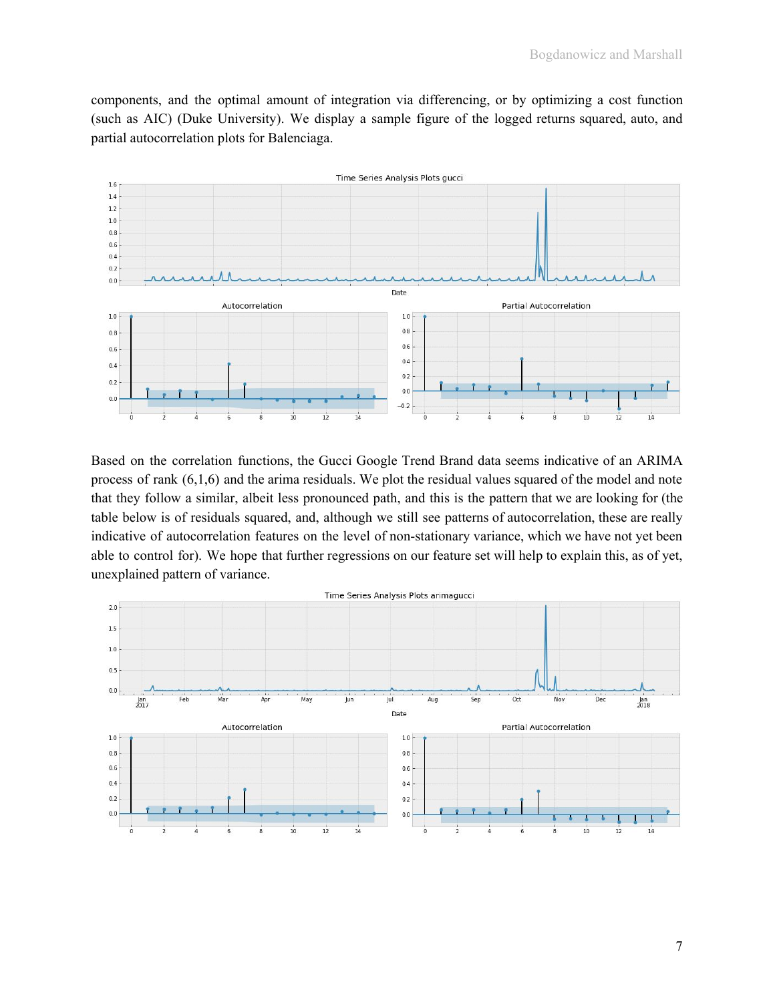components, and the optimal amount of integration via differencing, or by optimizing a cost function (such as AIC) (Duke University). We display a sample figure of the logged returns squared, auto, and partial autocorrelation plots for Balenciaga.



Based on the correlation functions, the Gucci Google Trend Brand data seems indicative of an ARIMA process of rank (6,1,6) and the arima residuals. We plot the residual values squared of the model and note that they follow a similar, albeit less pronounced path, and this is the pattern that we are looking for (the table below is of residuals squared, and, although we still see patterns of autocorrelation, these are really indicative of autocorrelation features on the level of non-stationary variance, which we have not yet been able to control for). We hope that further regressions on our feature set will help to explain this, as of yet, unexplained pattern of variance.

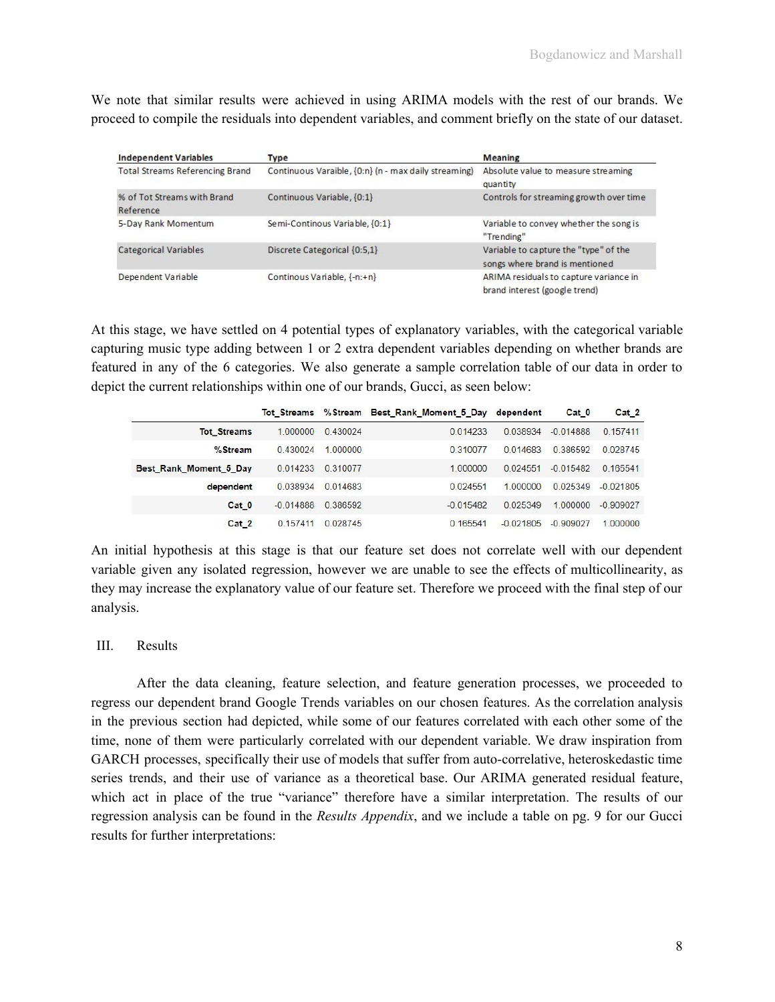We note that similar results were achieved in using ARIMA models with the rest of our brands. We proceed to compile the residuals into dependent variables, and comment briefly on the state of our dataset.

| <b>Independent Variables</b>             | <b>Type</b>                                          | <b>Meaning</b>                                                          |
|------------------------------------------|------------------------------------------------------|-------------------------------------------------------------------------|
| <b>Total Streams Referencing Brand</b>   | Continuous Varaible, {0:n} (n - max daily streaming) | Absolute value to measure streaming<br>quantity                         |
| % of Tot Streams with Brand<br>Reference | Continuous Variable, {0:1}                           | Controls for streaming growth over time                                 |
| 5-Day Rank Momentum                      | Semi-Continous Variable, {0:1}                       | Variable to convey whether the song is<br>"Trending"                    |
| <b>Categorical Variables</b>             | Discrete Categorical {0:5,1}                         | Variable to capture the "type" of the<br>songs where brand is mentioned |
| Dependent Variable                       | Continous Variable, {-n:+n}                          | ARIMA residuals to capture variance in<br>brand interest (google trend) |

At this stage, we have settled on 4 potential types of explanatory variables, with the categorical variable capturing music type adding between 1 or 2 extra dependent variables depending on whether brands are featured in any of the 6 categories. We also generate a sample correlation table of our data in order to depict the current relationships within one of our brands, Gucci, as seen below:

|                        | <b>Tot Streams</b> |               | %Stream Best_Rank_Moment_5_Day dependent |               | Cat 0       | Cat 2       |
|------------------------|--------------------|---------------|------------------------------------------|---------------|-------------|-------------|
| <b>Tot Streams</b>     | 1.000000           | 0.430024      | 0 0 1 4 2 3 3                            | 0.038934      | $-0.014888$ | 0.157411    |
| %Stream                | 0430024            | 1.000000      | 0310077                                  | 0 0 1 4 6 8 3 | 0386592     | 0.028745    |
| Best Rank Moment 5 Day | 0.014233           | 0.310077      | 1.000000                                 | 0.024551      | $-0.015482$ | 0.165541    |
| dependent              | 0.038934           | 0.014683      | 0 0 2 4 5 5 1                            | 1 000000      | 0.025349    | $-0.021805$ |
| Cat <sub>0</sub>       | $-0.014888$        | 0 386592      | $-0.015482$                              | 0.025349      | 1,000000    | $-0.909027$ |
| Cat 2                  | 0 157411           | 0 0 2 8 7 4 5 | 0 165541                                 | $-0.021805$   | $-0.909027$ | 1.000000    |

An initial hypothesis at this stage is that our feature set does not correlate well with our dependent variable given any isolated regression, however we are unable to see the effects of multicollinearity, as they may increase the explanatory value of our feature set. Therefore we proceed with the final step of our analysis.

### III. Results

After the data cleaning, feature selection, and feature generation processes, we proceeded to regress our dependent brand Google Trends variables on our chosen features. As the correlation analysis in the previous section had depicted, while some of our features correlated with each other some of the time, none of them were particularly correlated with our dependent variable. We draw inspiration from GARCH processes, specifically their use of models that suffer from auto-correlative, heteroskedastic time series trends, and their use of variance as a theoretical base. Our ARIMA generated residual feature, which act in place of the true "variance" therefore have a similar interpretation. The results of our regression analysis can be found in the *Results Appendix*, and we include a table on pg. 9 for our Gucci results for further interpretations: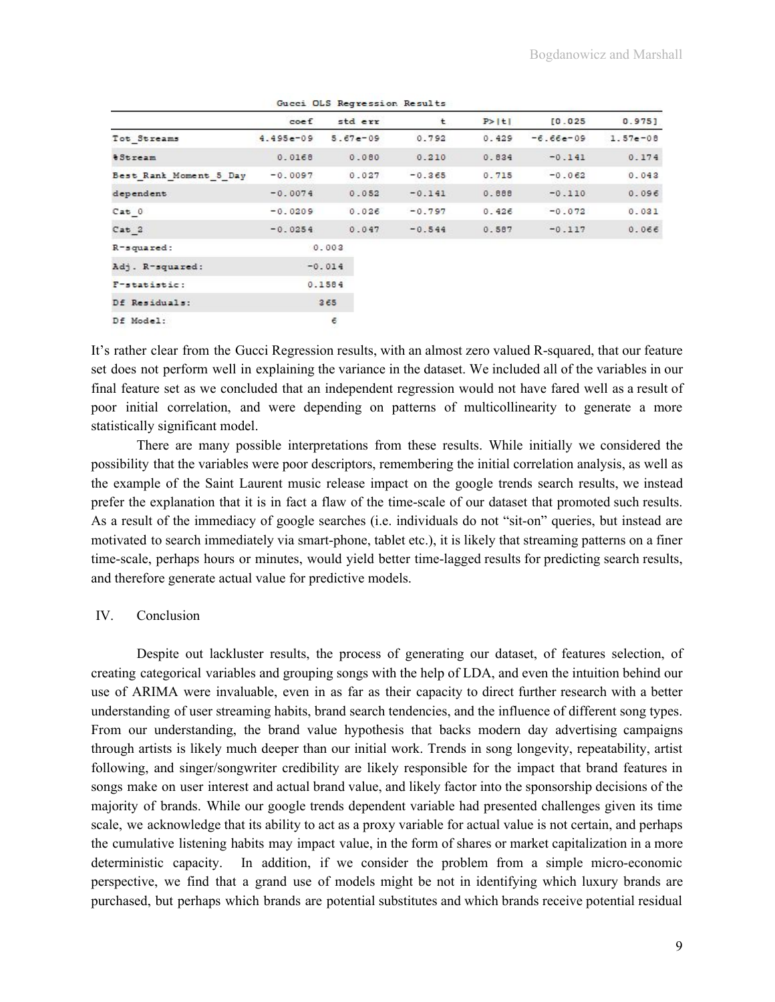|                           |                 | <u>cacce</u> cac wouldnessed. We saw to |          |        |             |            |
|---------------------------|-----------------|-----------------------------------------|----------|--------|-------------|------------|
|                           | $\mathsf{coef}$ | std err                                 | t        | P >  t | [0.025]     | $0.975$ ]  |
| Tot Streams               | $4.495e-09$     | $5.67e - 09$                            | 0.792    | 0.429  | $-6.66e-09$ | $1.57e-08$ |
| <i><b>&amp;Stream</b></i> | 0.0168          | 0.080                                   | 0.210    | 0.834  | $-0.141$    | 0.174      |
| Best Rank Moment 5 Day    | $-0.0097$       | 0.027                                   | $-0.365$ | 0.715  | $-0.062$    | 0.043      |
| dependent                 | $-0.0074$       | 0.052                                   | $-0.141$ | 0.888  | $-0.110$    | 0.096      |
| Cat 0                     | $-0.0209$       | 0.026                                   | $-0.797$ | 0.426  | $-0.072$    | 0.031      |
| Cat 2                     | $-0.0254$       | 0.047                                   | $-0.544$ | 0.587  | $-0.117$    | 0.066      |
| R-squared:                |                 | 0.003                                   |          |        |             |            |
| Adj. R-squared:           |                 | $-0.014$                                |          |        |             |            |
| F-statistic:              |                 | 0.1584                                  |          |        |             |            |
| Df Residuals:             |                 | 365                                     |          |        |             |            |
| Df Model:                 |                 | 6                                       |          |        |             |            |

Gugoi OLS Regression Regults

It's rather clear from the Gucci Regression results, with an almost zero valued R-squared, that our feature set does not perform well in explaining the variance in the dataset. We included all of the variables in our final feature set as we concluded that an independent regression would not have fared well as a result of poor initial correlation, and were depending on patterns of multicollinearity to generate a more statistically significant model.

There are many possible interpretations from these results. While initially we considered the possibility that the variables were poor descriptors, remembering the initial correlation analysis, as well as the example of the Saint Laurent music release impact on the google trends search results, we instead prefer the explanation that it is in fact a flaw of the time-scale of our dataset that promoted such results. As a result of the immediacy of google searches (i.e. individuals do not "sit-on" queries, but instead are motivated to search immediately via smart-phone, tablet etc.), it is likely that streaming patterns on a finer time-scale, perhaps hours or minutes, would yield better time-lagged results for predicting search results, and therefore generate actual value for predictive models.

### IV. Conclusion

Despite out lackluster results, the process of generating our dataset, of features selection, of creating categorical variables and grouping songs with the help of LDA, and even the intuition behind our use of ARIMA were invaluable, even in as far as their capacity to direct further research with a better understanding of user streaming habits, brand search tendencies, and the influence of different song types. From our understanding, the brand value hypothesis that backs modern day advertising campaigns through artists is likely much deeper than our initial work. Trends in song longevity, repeatability, artist following, and singer/songwriter credibility are likely responsible for the impact that brand features in songs make on user interest and actual brand value, and likely factor into the sponsorship decisions of the majority of brands. While our google trends dependent variable had presented challenges given its time scale, we acknowledge that its ability to act as a proxy variable for actual value is not certain, and perhaps the cumulative listening habits may impact value, in the form of shares or market capitalization in a more deterministic capacity. In addition, if we consider the problem from a simple micro-economic perspective, we find that a grand use of models might be not in identifying which luxury brands are purchased, but perhaps which brands are potential substitutes and which brands receive potential residual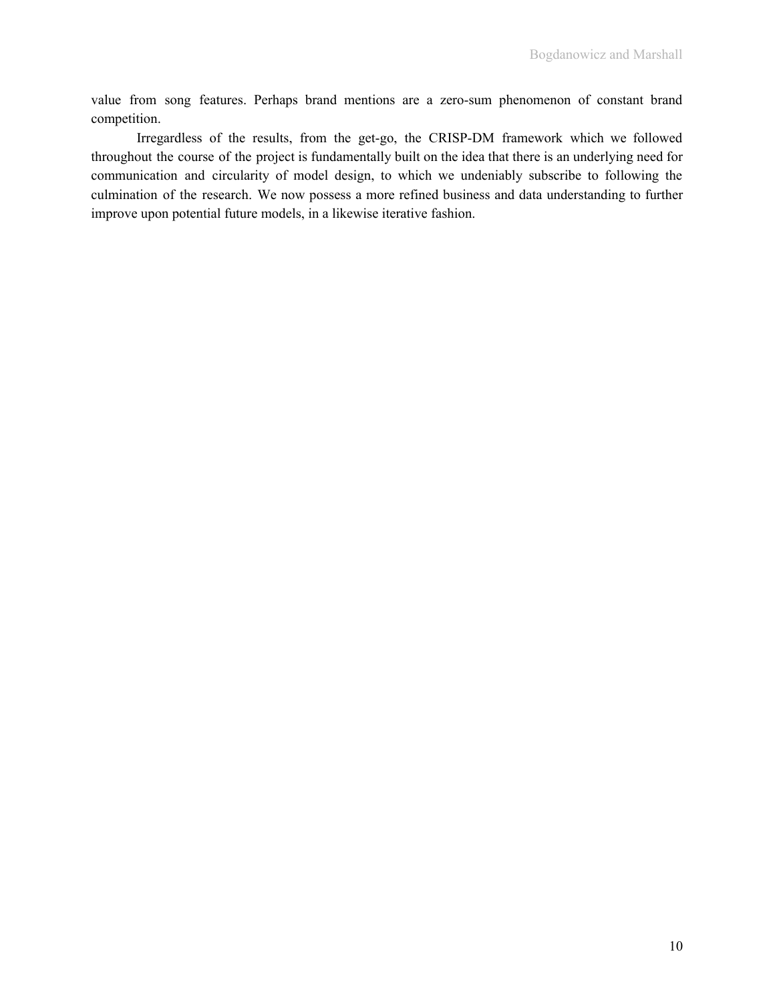value from song features. Perhaps brand mentions are a zero-sum phenomenon of constant brand competition.

Irregardless of the results, from the get-go, the CRISP-DM framework which we followed throughout the course of the project is fundamentally built on the idea that there is an underlying need for communication and circularity of model design, to which we undeniably subscribe to following the culmination of the research. We now possess a more refined business and data understanding to further improve upon potential future models, in a likewise iterative fashion.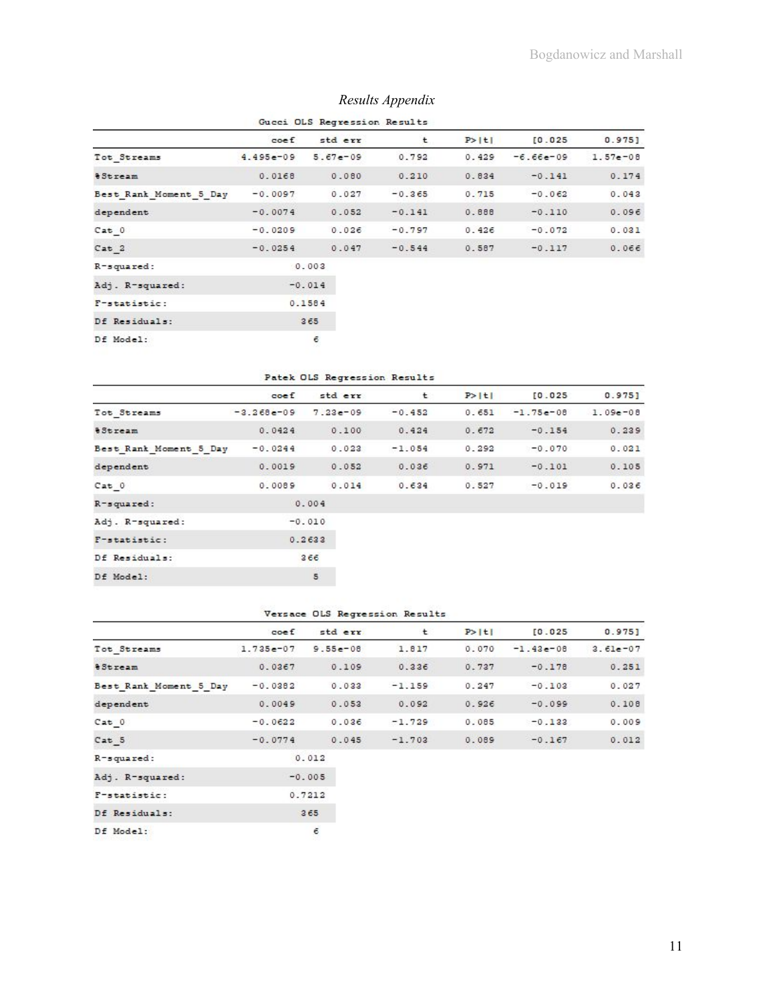| Gucci OLS Regression Results |                 |              |          |        |             |            |  |  |  |
|------------------------------|-----------------|--------------|----------|--------|-------------|------------|--|--|--|
|                              | $\mathsf{coef}$ | std err      | t        | P >  t | [0.025]     | $0.975$ ]  |  |  |  |
| Tot Streams                  | $4.495e-09$     | $5.67e - 09$ | 0.792    | 0.429  | $-6.66e-09$ | $1.57e-08$ |  |  |  |
| <i><b>&amp;Stream</b></i>    | 0.0168          | 0.080        | 0.210    | 0.834  | $-0.141$    | 0.174      |  |  |  |
| Best Rank Moment 5 Day       | $-0.0097$       | 0.027        | $-0.365$ | 0.715  | $-0.062$    | 0.043      |  |  |  |
| dependent                    | $-0.0074$       | 0.052        | $-0.141$ | 0.888  | $-0.110$    | 0.096      |  |  |  |
| Cat 0                        | $-0.0209$       | 0.026        | $-0.797$ | 0.426  | $-0.072$    | 0.031      |  |  |  |
| Cat 2                        | $-0.0254$       | 0.047        | $-0.544$ | 0.587  | $-0.117$    | 0.066      |  |  |  |
| R-squared:                   |                 | 0.003        |          |        |             |            |  |  |  |
| Adj. R-squared:              |                 | $-0.014$     |          |        |             |            |  |  |  |
| F-statistic:                 |                 | 0.1584       |          |        |             |            |  |  |  |
| Df Residuals:                |                 | 365          |          |        |             |            |  |  |  |
| Df Model:                    |                 | 6            |          |        |             |            |  |  |  |

# *Results Appendix*

#### Patek OLS Regression Results

|                           | $\mathsf{coef}$ | std err      | t        | P >  t | [0.025]     | 0.975        |
|---------------------------|-----------------|--------------|----------|--------|-------------|--------------|
| Tot Streams               | $-3.268e-09$    | $7.23e - 09$ | $-0.452$ | 0.651  | $-1.75e-08$ | $1.09e - 08$ |
| <i><b>&amp;Stream</b></i> | 0.0424          | 0.100        | 0.424    | 0.672  | $-0.154$    | 0.239        |
| Best Rank Moment 5 Day    | $-0.0244$       | 0.023        | $-1.054$ | 0.292  | $-0.070$    | 0.021        |
| dependent                 | 0.0019          | 0.052        | 0.036    | 0.971  | $-0.101$    | 0.105        |
| Cat 0                     | 0.0089          | 0.014        | 0.634    | 0.527  | $-0.019$    | 0.036        |
| R-squared:                |                 | 0.004        |          |        |             |              |
| Adj. R-squared:           |                 | $-0.010$     |          |        |             |              |
| F-statistic:              |                 | 0.2633       |          |        |             |              |
| Df Residuals:             |                 | 366          |          |        |             |              |
| Df Model:                 |                 | 5            |          |        |             |              |

#### Versace OLS Regression Results

|                           | $\mathsf{coef}$ | std err      | t        | P >  t | [0.025]     | $0.975$ ]  |
|---------------------------|-----------------|--------------|----------|--------|-------------|------------|
| Tot Streams               | $1.735e-07$     | $9.55e - 08$ | 1.817    | 0.070  | $-1.43e-08$ | $3.61e-07$ |
| <i><b>&amp;Stream</b></i> | 0.0367          | 0.109        | 0.336    | 0.737  | $-0.178$    | 0.251      |
| Best Rank Moment 5 Day    | $-0.0382$       | 0.033        | $-1.159$ | 0.247  | $-0.103$    | 0.027      |
| dependent                 | 0.0049          | 0.053        | 0.092    | 0.926  | $-0.099$    | 0.108      |
| Cat 0                     | $-0.0622$       | 0.036        | $-1.729$ | 0.085  | $-0.133$    | 0.009      |
| Cat 5                     | $-0.0774$       | 0.045        | $-1.703$ | 0.089  | $-0.167$    | 0.012      |
| R-squared:                |                 | 0.012        |          |        |             |            |
| Adj. R-squared:           |                 | $-0.005$     |          |        |             |            |
| F-statistic:              |                 | 0.7212       |          |        |             |            |
| Df Residuals:             |                 | 365          |          |        |             |            |
| Df Model:                 |                 | $\epsilon$   |          |        |             |            |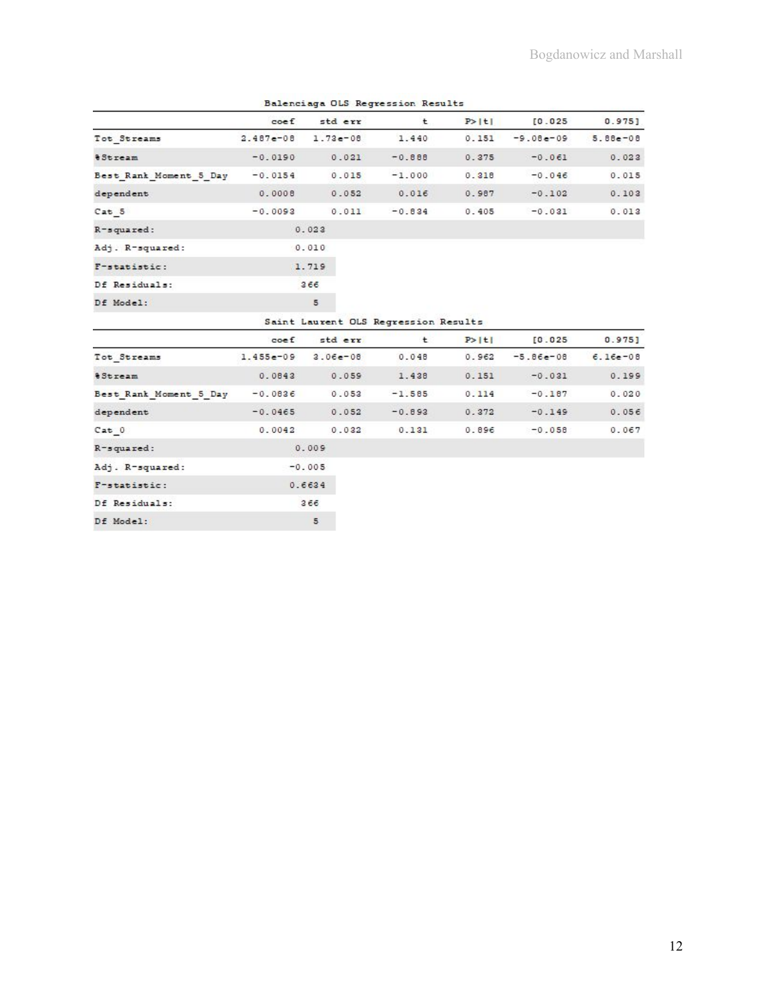|                           | $\csc f$    | parather and a pop and the deviled and announce<br>std err | t        | P >  t | [0.025]     | $0.975$ ]   |
|---------------------------|-------------|------------------------------------------------------------|----------|--------|-------------|-------------|
| Tot Streams               | 2.487e-08   | $1.73e - 08$                                               | 1.440    | 0.151  | $-9.08e-09$ | 5.88e-08    |
| <i><b>&amp;Stream</b></i> | $-0.0190$   | 0.021                                                      | $-0.888$ | 0.375  | $-0.061$    | 0.023       |
| Best Rank Moment 5 Day    | $-0.0154$   | 0.015                                                      | $-1.000$ | 0.318  | $-0.046$    | 0.015       |
| dependent                 | 0.0008      | 0.052                                                      | 0.016    | 0.987  | $-0.102$    | 0.103       |
| Cat 5                     | $-0.0093$   | 0.011                                                      | $-0.834$ | 0.405  | $-0.031$    | 0.013       |
| R-squared:                |             | 0.023                                                      |          |        |             |             |
| Adj. R-squared:           |             | 0.010                                                      |          |        |             |             |
| F-statistic:              |             | 1.719                                                      |          |        |             |             |
| Df Residuals:             |             | 366                                                        |          |        |             |             |
| Df Model:                 |             | 5                                                          |          |        |             |             |
|                           |             | Saint Laurent OLS Regression Results                       |          |        |             |             |
|                           | $\csc f$    | std err                                                    | t.       | P >  t | [0.025]     | 0.975       |
| Tot Streams               | $1.455e-09$ | $3.06e - 08$                                               | 0.048    | 0.962  | $-5.86e-08$ | $6.16e-0.8$ |
| <i><b>&amp;Stream</b></i> | 0.0843      | 0.059                                                      | 1.438    | 0.151  | $-0.031$    | 0.199       |
| Best Rank Moment 5 Day    | $-0.0836$   | 0.053                                                      | $-1.585$ | 0.114  | $-0.187$    | 0.020       |
| dependent                 | $-0.0465$   | 0.052                                                      | $-0.893$ | 0.372  | $-0.149$    | 0.056       |
| Cat 0                     | 0.0042      | 0.032                                                      | 0.131    | 0.896  | $-0.058$    | 0.067       |
| R-squared:                |             | 0.009                                                      |          |        |             |             |
| Adj. R-squared:           |             | $-0.005$                                                   |          |        |             |             |
| F-statistic:              |             | 0.6634                                                     |          |        |             |             |
| Df Residuals:             |             | 366                                                        |          |        |             |             |
| Df Model:                 |             | 5                                                          |          |        |             |             |

Balenciaga OLS Regression Results